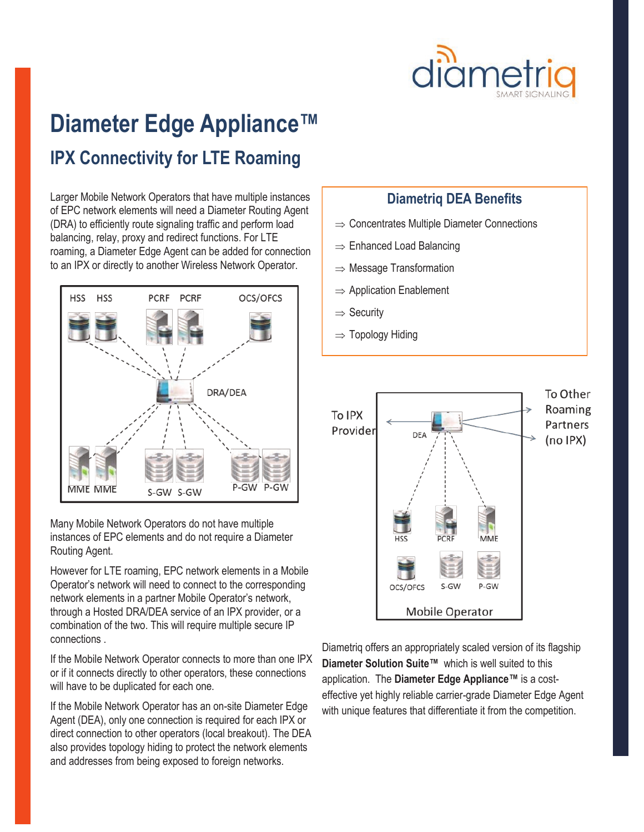

# **Diameter Edge Appliance™ IPX Connectivity for LTE Roaming**

Larger Mobile Network Operators that have multiple instances of EPC network elements will need a Diameter Routing Agent (DRA) to efficiently route signaling traffic and perform load balancing, relay, proxy and redirect functions. For LTE roaming, a Diameter Edge Agent can be added for connection to an IPX or directly to another Wireless Network Operator.



Many Mobile Network Operators do not have multiple instances of EPC elements and do not require a Diameter Routing Agent.

However for LTE roaming, EPC network elements in a Mobile Operator's network will need to connect to the corresponding network elements in a partner Mobile Operator's network, through a Hosted DRA/DEA service of an IPX provider, or a combination of the two. This will require multiple secure IP connections .

If the Mobile Network Operator connects to more than one IPX or if it connects directly to other operators, these connections will have to be duplicated for each one.

If the Mobile Network Operator has an on-site Diameter Edge Agent (DEA), only one connection is required for each IPX or direct connection to other operators (local breakout). The DEA also provides topology hiding to protect the network elements and addresses from being exposed to foreign networks.

#### **Diametriq DEA Benefits**

- $\Rightarrow$  Concentrates Multiple Diameter Connections
- $\Rightarrow$  Enhanced Load Balancing
- $\Rightarrow$  Message Transformation
- $\Rightarrow$  Application Enablement
- $\Rightarrow$  Security
- $\Rightarrow$  Topology Hiding



Diametriq offers an appropriately scaled version of its flagship **Diameter Solution Suite™** which is well suited to this application. The **Diameter Edge Appliance™** is a costeffective yet highly reliable carrier-grade Diameter Edge Agent with unique features that differentiate it from the competition.